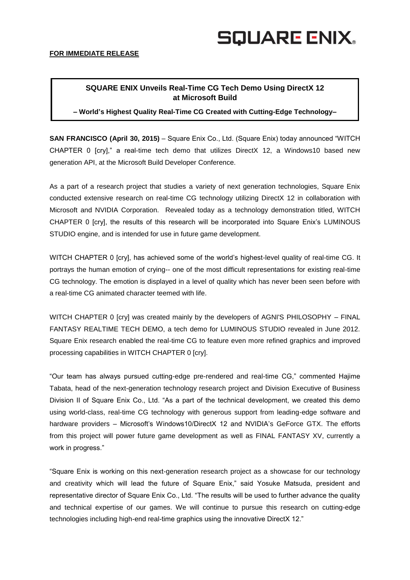## **SQUARE ENIX.**

### **SQUARE ENIX Unveils Real-Time CG Tech Demo Using DirectX 12 at Microsoft Build**

**– World's Highest Quality Real-Time CG Created with Cutting-Edge Technology–**

**SAN FRANCISCO (April 30, 2015)** – Square Enix Co., Ltd. (Square Enix) today announced "WITCH CHAPTER 0 [cry]," a real-time tech demo that utilizes DirectX 12, a Windows10 based new generation API, at the Microsoft Build Developer Conference.

As a part of a research project that studies a variety of next generation technologies. Square Enix conducted extensive research on real-time CG technology utilizing DirectX 12 in collaboration with Microsoft and NVIDIA Corporation. Revealed today as a technology demonstration titled, WITCH CHAPTER 0 [cry], the results of this research will be incorporated into Square Enix's LUMINOUS STUDIO engine, and is intended for use in future game development.

WITCH CHAPTER 0 [cry], has achieved some of the world's highest-level quality of real-time CG. It portrays the human emotion of crying-- one of the most difficult representations for existing real-time CG technology. The emotion is displayed in a level of quality which has never been seen before with a real-time CG animated character teemed with life.

WITCH CHAPTER 0 [cry] was created mainly by the developers of AGNI'S PHILOSOPHY – FINAL FANTASY REALTIME TECH DEMO, a tech demo for LUMINOUS STUDIO revealed in June 2012. Square Enix research enabled the real-time CG to feature even more refined graphics and improved processing capabilities in WITCH CHAPTER 0 [cry].

"Our team has always pursued cutting-edge pre-rendered and real-time CG," commented Hajime Tabata, head of the next-generation technology research project and Division Executive of Business Division II of Square Enix Co., Ltd. "As a part of the technical development, we created this demo using world-class, real-time CG technology with generous support from leading-edge software and hardware providers – Microsoft's Windows10/DirectX 12 and NVIDIA's GeForce GTX. The efforts from this project will power future game development as well as FINAL FANTASY XV, currently a work in progress."

"Square Enix is working on this next-generation research project as a showcase for our technology and creativity which will lead the future of Square Enix," said Yosuke Matsuda, president and representative director of Square Enix Co., Ltd. "The results will be used to further advance the quality and technical expertise of our games. We will continue to pursue this research on cutting-edge technologies including high-end real-time graphics using the innovative DirectX 12."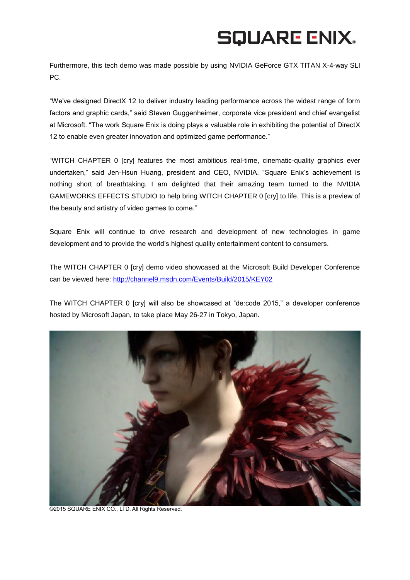# **SQUARE ENIX.**

Furthermore, this tech demo was made possible by using NVIDIA GeForce GTX TITAN X-4-way SLI PC.

"We've designed DirectX 12 to deliver industry leading performance across the widest range of form factors and graphic cards," said Steven Guggenheimer, corporate vice president and chief evangelist at Microsoft. "The work Square Enix is doing plays a valuable role in exhibiting the potential of DirectX 12 to enable even greater innovation and optimized game performance."

"WITCH CHAPTER 0 [cry] features the most ambitious real-time, cinematic-quality graphics ever undertaken," said Jen-Hsun Huang, president and CEO, NVIDIA. "Square Enix's achievement is nothing short of breathtaking. I am delighted that their amazing team turned to the NVIDIA GAMEWORKS EFFECTS STUDIO to help bring WITCH CHAPTER 0 [cry] to life. This is a preview of the beauty and artistry of video games to come."

Square Enix will continue to drive research and development of new technologies in game development and to provide the world's highest quality entertainment content to consumers.

The WITCH CHAPTER 0 [cry] demo video showcased at the Microsoft Build Developer Conference can be viewed here:<http://channel9.msdn.com/Events/Build/2015/KEY02>

The WITCH CHAPTER 0 [cry] will also be showcased at "de:code 2015," a developer conference hosted by Microsoft Japan, to take place May 26-27 in Tokyo, Japan.



©2015 SQUARE ENIX CO., LTD. All Rights Reserved.